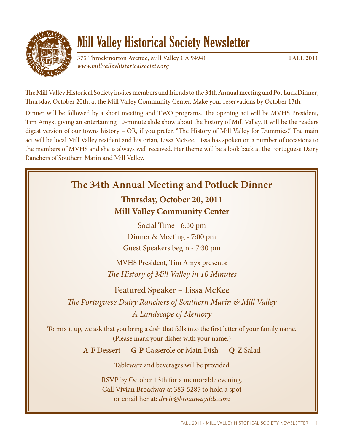

# **Mill Valley Historical Society Newsletter**

375 Throckmorton Avenue, Mill Valley CA 94941 **FALL 2011** www.millvalleyhistoricalsociety.org

The Mill Valley Historical Society invites members and friends to the 34th Annual meeting and Pot Luck Dinner, Thursday, October 20th, at the Mill Valley Community Center. Make your reservations by October 13th.

Dinner will be followed by a short meeting and TWO programs. The opening act will be MVHS President, Tim Amyx, giving an entertaining 10-minute slide show about the history of Mill Valley. It will be the readers digest version of our towns history  $-$  OR, if you prefer, "The History of Mill Valley for Dummies." The main act will be local Mill Valley resident and historian, Lissa McKee. Lissa has spoken on a number of occasions to the members of MVHS and she is always well received. Her theme will be a look back at the Portuguese Dairy Ranchers of Southern Marin and Mill Valley.

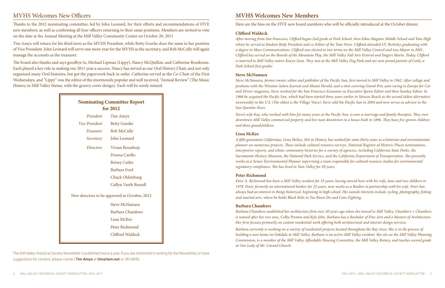# **MVHS Welcomes New Officers**

Thanks to the 2012 nominating committee, led by John Leonard, for their efforts and recommendations of FIVE new members, as well as confirming all four officers returning to their same positions. Members are invited to vote on the slate at the Annual Meeting at the Mill Valley Community Center on October 20, 2011

Tim Amyx will return for his third term as the MVHS President, while Betty Goerke does the same in her position of Vice President. John Leonard will serve one more year for the MVHS as the secretary, and Bob McCully will again manage the accounts as the treasurer.

The board also thanks and says goodbye to, Michael Lipman (Lippy), Nancy McQuilkin, and Catherine Rosekrans. Each played a key role in making our 2011 year a success. Nancy has served as our Oral History Chair, and not only organized many Oral histories, but got the paperwork back in order. Catherine served as the Co-Chair of the First Wednesdays, and "Lippy" was the editor of the enormously popular and well received, "Annual Review" (The Music History in Mill Valley theme, with the groovy cover design). Each will be sorely missed.

| <b>Nominating Committee Report</b><br>for 2012 |                             |
|------------------------------------------------|-----------------------------|
| President                                      | Tim Amyx                    |
| Vice President                                 | <b>Betty Goerke</b>         |
| Treasurer                                      | <b>Bob McCully</b>          |
| Secretary                                      | John Leonard                |
| Directors                                      | Vivian Broadway             |
|                                                | Donna Carillo               |
|                                                | <b>Betsey Cutler</b>        |
|                                                | Barbara Ford                |
|                                                | Chuck Oldenburg             |
|                                                | <b>Cullyn Vaeth Russell</b> |
| New directors to be approved in October, 2012  |                             |
|                                                | <b>Steve McNamara</b>       |
|                                                | <b>Barbara Chambers</b>     |
|                                                | Lissa McKee                 |
|                                                | Peter Richmond              |
|                                                | Clifford Waldeck            |
|                                                |                             |

Steve McNamara, former owner, editor and publisher of the Pacific Sun, first moved to Mill Valley in 1962. After college and positions with the Winston-Salem Journal and Miami Herald, and a stint covering Grand Prix auto racing in Europe for Car and Driver magazine, Steve worked for the San Francisco Examiner as Executive Sports Editor and then Sunday Editor. In 1966 he acquired the Pacific Sun, which had been started three years earlier in Stinson Beach as the second oldest alternative newsweekly in the U.S. (The oldest is the Village Voice). Steve sold the Pacific Sun in 2004 and now serves as advisor to the San Quentin News.

The Mill Valley Historical Society Newsletter is published twice a year. If you are interested in writing for the Newsletter, or have suggestions for content, please contact **Tim Amyx** at **tim@tam.net** or 383-8936

Steve's wife Kay, who worked with him for many years at the Pacific Sun, is now a marriage and family therapist. They own downtown Mill Valley commercial property and live near downtown in a house built in 1896. They have five grown children and three grandchildren.

# **MVHS Welcomes New Members**

Here are the bios on the FIVE new board members who will be officially introduced at the October dinner.

## **Clifford Waldeck**

After moving from San Francisco, Clifford began 2nd grade at Park School, then Edna Maguire Middle School and Tam High where he served as Student Body President and co-Editor of the Tam News. Clifford attended UC Berkeley graduating with a degree in Mass Communications. Clifford was elected to two terms on the Mill Valley Council and was Mayor in 2001. Clifford has served on the Boards of the Mountain Play, the Mill Valley Fall Arts Festival and Singers Marin. Today, Clifford is married to Mill Valley native Karyn Gear. They met at the Mill Valley Dog Park and are now proud parents of Carly, a Park School first grader.

A fifth generation Californian, Lissa McKee, MA in History, has worked for some thirty years as a historian and environmental planner on numerous projects. These include cultural resource surveys, National Register of Historic Places nominations, interpretive reports, and ethnic community histories for a variety of agencies, including California State Parks, the Sacramento History Museum, the National Park Service, and the California Department of Transportation. She presently works as a Senior Environmental Planner supervising a team responsible for cultural resource studies for environmental regulatory compliance. She has lived in Tam Valley for 20 years.

## **Steve McNamara**

#### **Lissa McKee**

#### **Peter Richmond**

Peter A. Richmond has been a Mill Valley resident for 33 years, having moved here with his wife, Jane and two children in 1978. Peter, formerly an international banker for 25 years, now works as a Realtor in partnership with his wife. Peter has always had an interest in things historical, beginning in high school. His outside interests include cycling, photography, fishing and martial arts, where he holds Black Belts in Tae Kwon Do and Cane Fighting.

## **Barbara Chambers**

Barbara Chambers established her architecture firm over 20 years ago when she moved to Mill Valley. Chambers + Chambers is named after her two sons, Colby Preston and Kyle John. Barbara has a Bachelor of Fine Arts and a Masters of Architecture. Her firm focuses primarily on custom residential work offering both architectural and interior design services.

Barbara currently is working on a variety of residential projects located throughout the Bay Area. She is in the process of building a new home on Oakdale in Mill Valley. Barbara is an active Mill Valley resident. She sits on the Mill Valley Planning Commission, is a member of the Mill Valley Affordable Housing Committee, the Mill Valley Rotary, and teaches second grade at Our Lady of Mt. Carmel Church.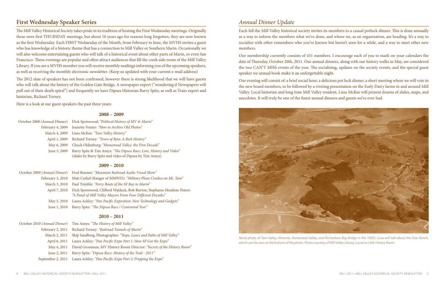## **First Wednesday Speaker Series**

The Mill Valley Historical Society takes pride in its tradition of hosting the First Wednesday meetings. Originally these were first THURSDAY meetings, but about 10 years ago for reasons long forgotten, they are now known as the first Wednesday. Each FIRST Wednesday of the Month, from February to June, the MVHS invites a guest who has knowledge of a historic theme that has a connection to Mill Valley or Southern Marin. Occasionally we will also welcome entertaining guests who will talk of a historical event about other parts of Marin, or even San Francisco. These evenings are popular and often attract audiences that fill the creek side room of the Mill Valley Library. If you are a MVHS member you will receive monthly mailings informing you of the upcoming speakers, as well as receiving the monthly electronic newsletter. (Keep us updated with your current e-mail address)

The 2012 slate of speakers has not been confirmed, however there is strong likelihood that we will have guests who will talk about the history of the Golden Gate Bridge, A newspaper expert ("wondering if Newspapers will pull out of their death spiral") and frequently we have Dipsea Historian Barry Spitz, as well as Train expert and historian, Richard Torney.

| October 2009 (Annual Dinner) | Fred Runner: "Mountain Railroad Audio Visual Show"                                                                                     |
|------------------------------|----------------------------------------------------------------------------------------------------------------------------------------|
| February 3, 2010             | Matt Cerkel (Ranger of MMWD): "Military Plane Crashes on Mt. Tam"                                                                      |
| March 3, 2010                | Paul Trimble: "Ferry Boats of the SF Bay to Marin"                                                                                     |
| April 7, 2010                | Dick Spotswood, Clifford Waldeck, Bob Burton, Stephanie Moulton-Peters:<br>"A Panel of Mill Valley Mayors From Four Different Decades" |
| May 5, 2010                  | Laura Ackley: "Pan Pacific Exposition: New Technology and Gadgets"                                                                     |
| June 1, 2010                 | Barry Spitz: "The Dipsea Race / Centennial Year"                                                                                       |

Here is a look at our guest speakers the past three years:

#### **2008 – 2009**

|              | October 2008 (Annual Dinner) Dick Spotswood; "Political History of MV & Marin"                                                |
|--------------|-------------------------------------------------------------------------------------------------------------------------------|
|              | February 4, 2009 Jeanette Vonier: "How to Archive Old Photos"                                                                 |
|              | March 4, 2009 Lissa McKee: "Tam Valley History"                                                                               |
|              | April 1, 2009 Richard Torney: "Town of Ross: A Rich History"                                                                  |
| May 6, 2009  | Chuck Oldenburg: "Homestead Valley: the First Decade"                                                                         |
| June 3, 2009 | Barry Spitz & Tim Amyx: "The Dipsea Race: Lore, History and Video"<br>(slides by Barry Spitz and video of Dipsea by Tim Amyx) |
|              |                                                                                                                               |

Each fall the Mill Valley historical society invites its members to a casual potluck dinner. This is done annually as a way to inform the members what we've done, and where we, as an organization, are heading. It's a way to socialize with other remembers who you've known but haven't seen for a while, and a way to meet other new members.

Our evening will consist of: a brief social hour, a delicious pot luck dinner, a short meeting where we will vote in the new board members, to be followed by a riveting presentation on the Early Dairy farms in and around Mill Valley. Local historian and long time Mill Valley resident, Lissa McKee will present dozens of slides, maps, and anecdotes. It will truly be one of the finest annual dinners and guests we've ever had.

## **2009 – 2010**

## **2010 – 2011**

|                  | October 2010 (Annual Dinner) Tim Amyx: "The History of Mill Valley"                 |
|------------------|-------------------------------------------------------------------------------------|
| February 2, 2011 | <b>Richard Torney: "Railroad Tunnels of Marin"</b>                                  |
| March 2, 2011    | Skip Sandberg, Photographer: "Steps, Lanes and Paths of Mill Valley"                |
|                  | April 6, 2011 Laura Ackley: "Pan Pacific Expo Part 1: How SF Got the Expo"          |
|                  | May 4, 2011 David Grossman, MV History Room Director: "Secrets of the History Room" |
| June 2, 2011     | Barry Spitz: "Dipsea Race: History of the Trail - 2011"                             |
|                  | September 2, 2011 Laura Ackley: "Pan Pacific Expo Part 2: Prepping the Expo"        |

# Annual Dinner Update

Our membership currently consists of 431 members. I encourage each of you to mark on your calendars the date of Thursday, October 20th, 2011. Our annual dinners, along with our history walks in May, are considered the two CAN'T MISS events of the year. The socializing, updates on the society events, and the special guest speaker we annual book make it an unforgettable night.



Aerial photo of Tam Valley, Almonte, Homestead Valley, and Richardson Bay Bridge in the 1930's. Lissa will talk about the Dias Ranch, which can be seen at the bottom of the photo. Photo courtesy of Mill Valley Library, Lucrecia Little History Room.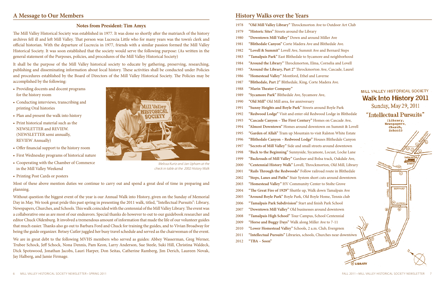## A Message to Our Members

## **Notes from President: Tim Amyx**

The Mill Valley Historical Society was established in 1977. It was done so shortly after the matriarch of the history archives fell ill and left Mill Valley. That person was Lucrecia Little who for many years was the town's clerk and official historian. With the departure of Lucrecia in 1977, friends with a similar passion formed the Mill Valley Historical Society. It was soon established that the society would serve the following purpose: (As written in the general statement of the Purposes, policies, and procedures of the Mill Valley Historical Society)

It shall be the purpose of the Mill Valley historical society to educate by gathering, preserving, researching, publishing and disseminating information about local history. These activities shall be conducted under Policies and procedures established by the Board of Directors of the Mill Valley Historical Society. The Policies may be accomplished by the following:

- Providing docents and docent programs for the history room
- Conducting interviews, transcribing and printing Oral histories
- Plan and present the walk into history
- Print historical material such as the NEWSLETTER and REVIEW. (NEWSLETTER semi annually, **REVIEW Annually)**
- Offer financial support to the history room
- First Wednesday programs of historical nature
- Cooperating with the Chamber of Commerce in the Mill Valley Weekend
- Printing Post Cards or posters

Most of these above mention duties we continue to carry out and spend a great deal of time in preparing and planning.

Without question the biggest event of the year is our Annual Walk into History, given on the Sunday of Memorial Day in May. We took great pride this past spring in presenting the 2011 walk, titled, "Intellectual Pursuits": Library, Newspapers, Churches, and Schools. This walk coincided with the centennial of the Mill Valley Library. The event was a collaborative one as are most of our endeavors. Special thanks do however to out to our guidebook researcher and editor Chuck Oldenburg. It involved a tremendous amount of information that made the life of our volunteer guides that much easier. Thanks also go out to Barbara Ford and Chuck for training the guides, and to Vivian Broadway for being the guide organizer. Betsey Cutler juggled her busy travel schedule and served as the chairwoman of the event.

We are in great debt to the following MVHS members who served as guides: Abbey Wasserman, Greg Werner, Trubee Schock, Jeff Schock, Nona Dennis, Pam Keon, Larry Anderson, Sue Steele, Suki Hill, Christina Waldeck, Dick Spotswood, Jonathan Jacobs, Lauri Harper, Don Seitas, Catherine Ramberg, Jim Derich, Laureen Novak, Jay Halberg, and Jamie Firmage.



Melissa Kurtz and Jan Upham at the check in table at the 2002 History Walk

# **History Walks over the Years**

| 1978 | "Old Mill Valley Library" Throckmorton Ave to       |
|------|-----------------------------------------------------|
| 1979 | "Historic Sites" Streets around the Library         |
| 1980 | "Downtown Mill Valley" Down and around Mill         |
| 1981 | "Blithedale Canyon" Corte Madera Ave and Blitl      |
| 1982 | "Lovell & Summit" Lovell Ave, Summit Ave and        |
| 1983 | "Tamalpais Park" East Blithedale to Sycamore ar     |
| 1984 | "Around the Library" Throckmorton, Elma, Cor        |
| 1985 | "Around the Library, Part 2" Throckmorton Ave       |
| 1986 | "Homestead Valley" Montford, Ethel and Lavern       |
| 1987 | "Blithedale, Part 2" Blithedale, King, Corte Mad    |
| 1988 | "Marin Theater Company"                             |
| 1989 | "Sycamore Park" Blithedale Ave, Sycamore Ave,       |
| 1990 | "Old Mill" Old Mill area, for anniversary           |
| 1991 | "Sunny Heights and Boyle Park" Streets around       |
| 1992 | "Redwood Lodge" Visit and enter old Redwood         |
| 1993 | "Cascade Canyon - The First Century" Homes of       |
| 1994 | "Almost Downtown" Homes around downtown             |
| 1995 | "Garden of Allah" Tram up Mountain to visit Ra      |
| 1996 | "Blithedale Canyon - Redwood Lodge" Houses          |
| 1997 | "Secrets of Mill Valley" Side and small streets are |
| 1998 | "Back to the Beginning" Sunnyside, Sycamore, L      |
| 1999 | "Backroads of Mill Valley" Gardner and Bolsa tr     |
| 2000 | "Centennial History Walk" Lovell, Throckmorto       |
| 2001 | "Rails Through the Redwoods" Follow railroad a      |
| 2002 | "Steps, Lanes and Paths" Stair System short cuts    |
| 2003 | "Homestead Valley" HV Community Center to !         |
| 2004 | "The Great Fire of 1929" Shuttle up, Walk down      |
| 2005 | "Around Boyle Park" Boyle Park, Old Boyle Hon       |
| 2006 | "Tamalpais Park Subdivision" Start and finish Pa    |
| 2007 | "Downtown Mill Valley" Old businesses around        |
| 2008 | "Tamalpais High School" Tour Campus, School         |
| 2009 | "Horse and Buggy Days" Walk along Miller Ave        |
| 2010 | "Lower Homestead Valley" Schools, 2 a.m. Club       |
| 2011 | "Intellectual Pursuits" Libraries, schools, Churcl  |
| 2012 | "TBA – $Soon"$                                      |

#### **Outdoor Art Club**

ler Ave hedale Ave. **Bernard Steps** nd neighborhood nelia and Lovell c, Cascade, Laurel <sub>1e</sub> era Ave.

## MILL VALLEY HISTORICAL SOCIETY **Walk Into History 2011** Sunday, May 29, 2011

**Boyle Park** Lodge in Blithedale on Cascade Ave, on Summit & Lovell **Iston White Estate Blithedale Canyon** ound downtown ocust, Locke Lane rack, Oakdale Ave, on, Old Mill, Library route in Blithedale around downtown **Stolte Grove** Tamalpais Ave ne, Tennis club ark School downtown Centennial to  $7-11$ , Evergreen hes near downtown